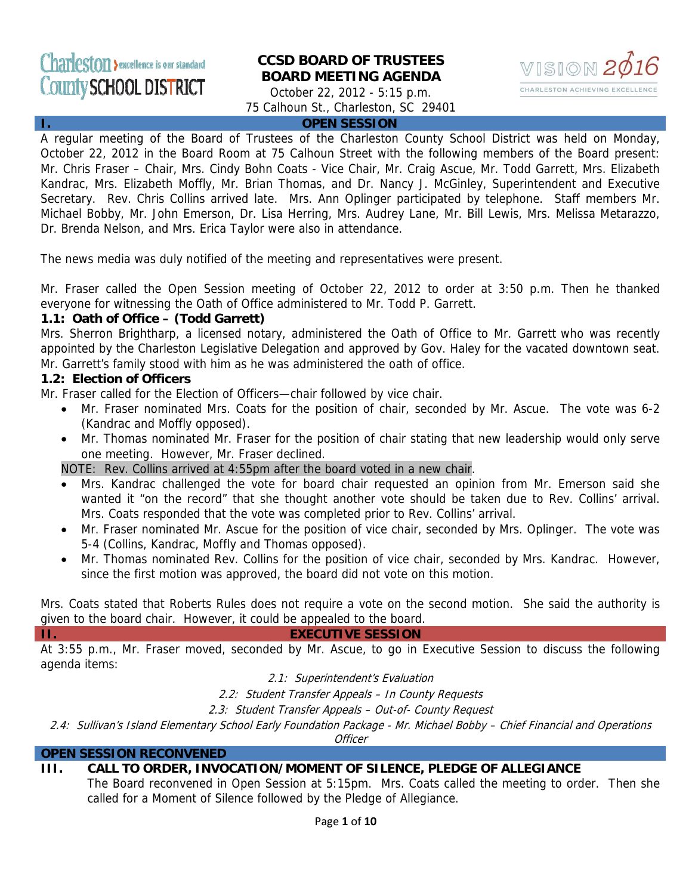# Charleston >excellence is our standard County SCHOOL DISTRICT

# **CCSD BOARD OF TRUSTEES BOARD MEETING AGENDA**



October 22, 2012 - 5:15 p.m. 75 Calhoun St., Charleston, SC 29401

#### **I. OPEN SESSION**

A regular meeting of the Board of Trustees of the Charleston County School District was held on Monday, October 22, 2012 in the Board Room at 75 Calhoun Street with the following members of the Board present: Mr. Chris Fraser – Chair, Mrs. Cindy Bohn Coats - Vice Chair, Mr. Craig Ascue, Mr. Todd Garrett, Mrs. Elizabeth Kandrac, Mrs. Elizabeth Moffly, Mr. Brian Thomas, and Dr. Nancy J. McGinley, Superintendent and Executive Secretary. Rev. Chris Collins arrived late. Mrs. Ann Oplinger participated by telephone. Staff members Mr. Michael Bobby, Mr. John Emerson, Dr. Lisa Herring, Mrs. Audrey Lane, Mr. Bill Lewis, Mrs. Melissa Metarazzo, Dr. Brenda Nelson, and Mrs. Erica Taylor were also in attendance.

The news media was duly notified of the meeting and representatives were present.

Mr. Fraser called the Open Session meeting of October 22, 2012 to order at 3:50 p.m. Then he thanked everyone for witnessing the Oath of Office administered to Mr. Todd P. Garrett.

#### **1.1: Oath of Office – (Todd Garrett)**

Mrs. Sherron Brightharp, a licensed notary, administered the Oath of Office to Mr. Garrett who was recently appointed by the Charleston Legislative Delegation and approved by Gov. Haley for the vacated downtown seat. Mr. Garrett's family stood with him as he was administered the oath of office.

#### **1.2: Election of Officers**

Mr. Fraser called for the Election of Officers—chair followed by vice chair.

- Mr. Fraser nominated Mrs. Coats for the position of chair, seconded by Mr. Ascue. The vote was 6-2 (Kandrac and Moffly opposed).
- Mr. Thomas nominated Mr. Fraser for the position of chair stating that new leadership would only serve one meeting. However, Mr. Fraser declined.

NOTE: Rev. Collins arrived at 4:55pm after the board voted in a new chair.

- Mrs. Kandrac challenged the vote for board chair requested an opinion from Mr. Emerson said she wanted it "on the record" that she thought another vote should be taken due to Rev. Collins' arrival. Mrs. Coats responded that the vote was completed prior to Rev. Collins' arrival.
- Mr. Fraser nominated Mr. Ascue for the position of vice chair, seconded by Mrs. Oplinger. The vote was 5-4 (Collins, Kandrac, Moffly and Thomas opposed).
- Mr. Thomas nominated Rev. Collins for the position of vice chair, seconded by Mrs. Kandrac. However, since the first motion was approved, the board did not vote on this motion.

Mrs. Coats stated that Roberts Rules does not require a vote on the second motion. She said the authority is given to the board chair. However, it could be appealed to the board.

#### **II. EXECUTIVE SESSION**

At 3:55 p.m., Mr. Fraser moved, seconded by Mr. Ascue, to go in Executive Session to discuss the following agenda items:

2.1: Superintendent's Evaluation

2.2: Student Transfer Appeals – In County Requests

2.3: Student Transfer Appeals – Out-of- County Request

2.4: Sullivan's Island Elementary School Early Foundation Package - Mr. Michael Bobby – Chief Financial and Operations

**Officer** 

#### **OPEN SESSION RECONVENED**

## **III. CALL TO ORDER, INVOCATION/MOMENT OF SILENCE, PLEDGE OF ALLEGIANCE**

The Board reconvened in Open Session at 5:15pm. Mrs. Coats called the meeting to order. Then she called for a Moment of Silence followed by the Pledge of Allegiance.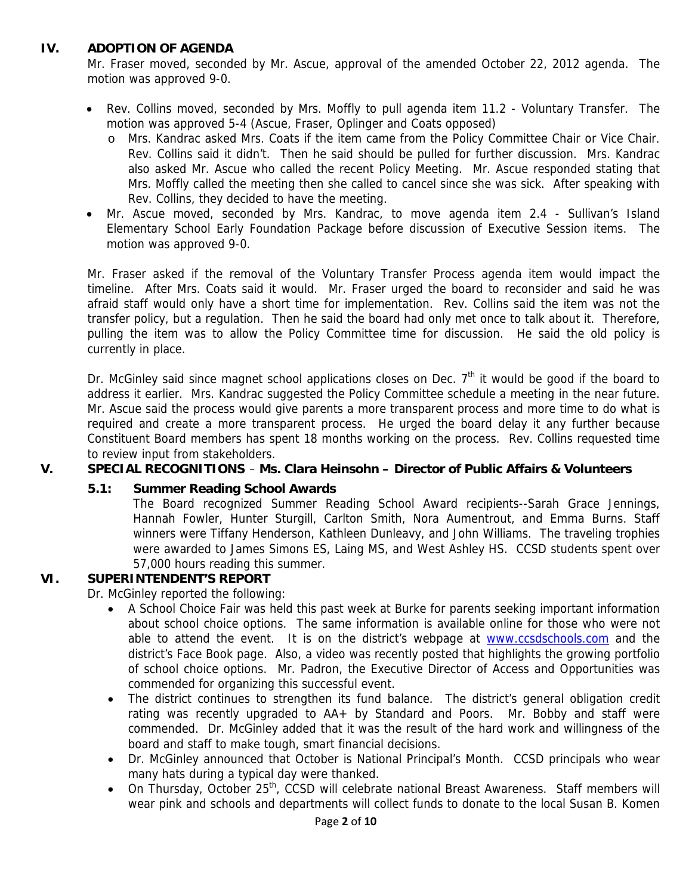## **IV. ADOPTION OF AGENDA**

Mr. Fraser moved, seconded by Mr. Ascue, approval of the amended October 22, 2012 agenda. The motion was approved 9-0.

- Rev. Collins moved, seconded by Mrs. Moffly to pull agenda item 11.2 Voluntary Transfer. The motion was approved 5-4 (Ascue, Fraser, Oplinger and Coats opposed)
	- o Mrs. Kandrac asked Mrs. Coats if the item came from the Policy Committee Chair or Vice Chair. Rev. Collins said it didn't. Then he said should be pulled for further discussion. Mrs. Kandrac also asked Mr. Ascue who called the recent Policy Meeting. Mr. Ascue responded stating that Mrs. Moffly called the meeting then she called to cancel since she was sick. After speaking with Rev. Collins, they decided to have the meeting.
- Mr. Ascue moved, seconded by Mrs. Kandrac, to move agenda item 2.4 Sullivan's Island Elementary School Early Foundation Package before discussion of Executive Session items. The motion was approved 9-0.

Mr. Fraser asked if the removal of the Voluntary Transfer Process agenda item would impact the timeline. After Mrs. Coats said it would. Mr. Fraser urged the board to reconsider and said he was afraid staff would only have a short time for implementation. Rev. Collins said the item was not the transfer policy, but a regulation. Then he said the board had only met once to talk about it. Therefore, pulling the item was to allow the Policy Committee time for discussion. He said the old policy is currently in place.

Dr. McGinley said since magnet school applications closes on Dec.  $7<sup>th</sup>$  it would be good if the board to address it earlier. Mrs. Kandrac suggested the Policy Committee schedule a meeting in the near future. Mr. Ascue said the process would give parents a more transparent process and more time to do what is required and create a more transparent process. He urged the board delay it any further because Constituent Board members has spent 18 months working on the process. Rev. Collins requested time to review input from stakeholders.

## **V. SPECIAL RECOGNITIONS** – **Ms. Clara Heinsohn – Director of Public Affairs & Volunteers**

#### **5.1: Summer Reading School Awards**

The Board recognized Summer Reading School Award recipients--Sarah Grace Jennings, Hannah Fowler, Hunter Sturgill, Carlton Smith, Nora Aumentrout, and Emma Burns. Staff winners were Tiffany Henderson, Kathleen Dunleavy, and John Williams. The traveling trophies were awarded to James Simons ES, Laing MS, and West Ashley HS. CCSD students spent over 57,000 hours reading this summer.

# **VI. SUPERINTENDENT'S REPORT**

Dr. McGinley reported the following:

- A School Choice Fair was held this past week at Burke for parents seeking important information about school choice options. The same information is available online for those who were not able to attend the event. It is on the district's webpage at **www.ccsdschools.com** and the district's Face Book page. Also, a video was recently posted that highlights the growing portfolio of school choice options. Mr. Padron, the Executive Director of Access and Opportunities was commended for organizing this successful event.
- The district continues to strengthen its fund balance. The district's general obligation credit rating was recently upgraded to AA+ by Standard and Poors. Mr. Bobby and staff were commended. Dr. McGinley added that it was the result of the hard work and willingness of the board and staff to make tough, smart financial decisions.
- Dr. McGinley announced that October is National Principal's Month. CCSD principals who wear many hats during a typical day were thanked.
- On Thursday, October 25<sup>th</sup>, CCSD will celebrate national Breast Awareness. Staff members will wear pink and schools and departments will collect funds to donate to the local Susan B. Komen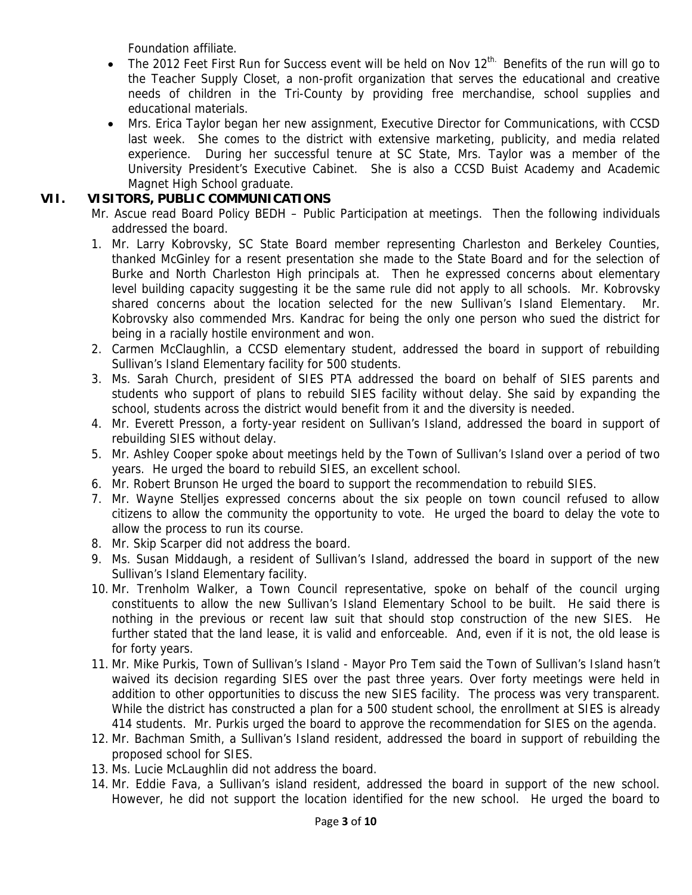Foundation affiliate.

- The 2012 Feet First Run for Success event will be held on Nov  $12<sup>th</sup>$ . Benefits of the run will go to the Teacher Supply Closet, a non-profit organization that serves the educational and creative needs of children in the Tri-County by providing free merchandise, school supplies and educational materials.
- Mrs. Erica Taylor began her new assignment, Executive Director for Communications, with CCSD last week. She comes to the district with extensive marketing, publicity, and media related experience. During her successful tenure at SC State, Mrs. Taylor was a member of the University President's Executive Cabinet. She is also a CCSD Buist Academy and Academic Magnet High School graduate.

# **VII. VISITORS, PUBLIC COMMUNICATIONS**

- Mr. Ascue read Board Policy BEDH Public Participation at meetings. Then the following individuals addressed the board.
- 1. Mr. Larry Kobrovsky, SC State Board member representing Charleston and Berkeley Counties, thanked McGinley for a resent presentation she made to the State Board and for the selection of Burke and North Charleston High principals at. Then he expressed concerns about elementary level building capacity suggesting it be the same rule did not apply to all schools. Mr. Kobrovsky shared concerns about the location selected for the new Sullivan's Island Elementary. Mr. Kobrovsky also commended Mrs. Kandrac for being the only one person who sued the district for being in a racially hostile environment and won.
- 2. Carmen McClaughlin, a CCSD elementary student, addressed the board in support of rebuilding Sullivan's Island Elementary facility for 500 students.
- 3. Ms. Sarah Church, president of SIES PTA addressed the board on behalf of SIES parents and students who support of plans to rebuild SIES facility without delay. She said by expanding the school, students across the district would benefit from it and the diversity is needed.
- 4. Mr. Everett Presson, a forty-year resident on Sullivan's Island, addressed the board in support of rebuilding SIES without delay.
- 5. Mr. Ashley Cooper spoke about meetings held by the Town of Sullivan's Island over a period of two years. He urged the board to rebuild SIES, an excellent school.
- 6. Mr. Robert Brunson He urged the board to support the recommendation to rebuild SIES.
- 7. Mr. Wayne Stelljes expressed concerns about the six people on town council refused to allow citizens to allow the community the opportunity to vote. He urged the board to delay the vote to allow the process to run its course.
- 8. Mr. Skip Scarper did not address the board.
- 9. Ms. Susan Middaugh, a resident of Sullivan's Island, addressed the board in support of the new Sullivan's Island Elementary facility.
- 10. Mr. Trenholm Walker, a Town Council representative, spoke on behalf of the council urging constituents to allow the new Sullivan's Island Elementary School to be built. He said there is nothing in the previous or recent law suit that should stop construction of the new SIES. He further stated that the land lease, it is valid and enforceable. And, even if it is not, the old lease is for forty years.
- 11. Mr. Mike Purkis, Town of Sullivan's Island Mayor Pro Tem said the Town of Sullivan's Island hasn't waived its decision regarding SIES over the past three years. Over forty meetings were held in addition to other opportunities to discuss the new SIES facility. The process was very transparent. While the district has constructed a plan for a 500 student school, the enrollment at SIES is already 414 students. Mr. Purkis urged the board to approve the recommendation for SIES on the agenda.
- 12. Mr. Bachman Smith, a Sullivan's Island resident, addressed the board in support of rebuilding the proposed school for SIES.
- 13. Ms. Lucie McLaughlin did not address the board.
- 14. Mr. Eddie Fava, a Sullivan's island resident, addressed the board in support of the new school. However, he did not support the location identified for the new school. He urged the board to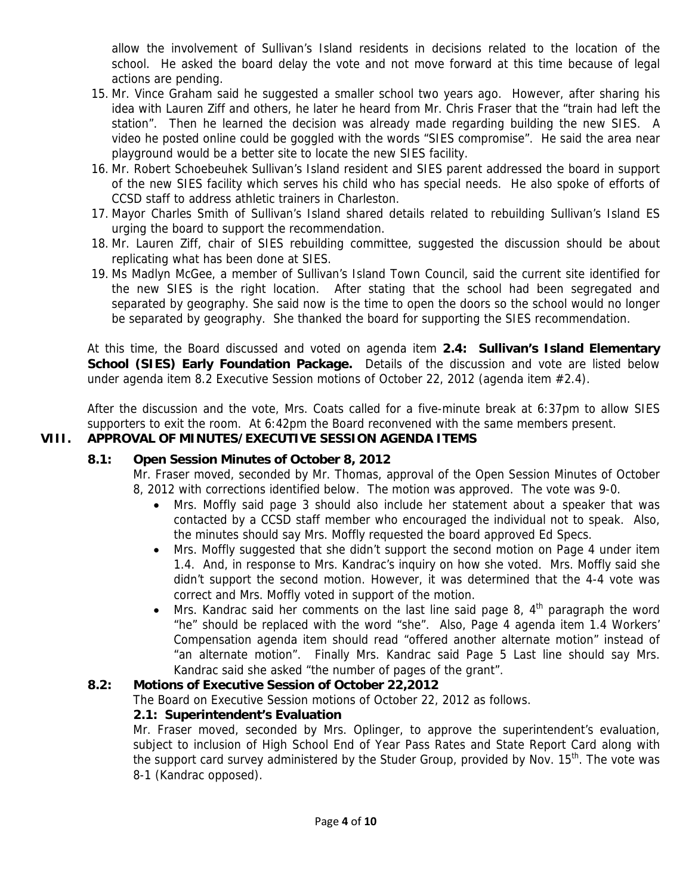allow the involvement of Sullivan's Island residents in decisions related to the location of the school. He asked the board delay the vote and not move forward at this time because of legal actions are pending.

- 15. Mr. Vince Graham said he suggested a smaller school two years ago. However, after sharing his idea with Lauren Ziff and others, he later he heard from Mr. Chris Fraser that the "train had left the station". Then he learned the decision was already made regarding building the new SIES. A video he posted online could be goggled with the words "SIES compromise". He said the area near playground would be a better site to locate the new SIES facility.
- 16. Mr. Robert Schoebeuhek Sullivan's Island resident and SIES parent addressed the board in support of the new SIES facility which serves his child who has special needs. He also spoke of efforts of CCSD staff to address athletic trainers in Charleston.
- 17. Mayor Charles Smith of Sullivan's Island shared details related to rebuilding Sullivan's Island ES urging the board to support the recommendation.
- 18. Mr. Lauren Ziff, chair of SIES rebuilding committee, suggested the discussion should be about replicating what has been done at SIES.
- 19. Ms Madlyn McGee, a member of Sullivan's Island Town Council, said the current site identified for the new SIES is the right location. After stating that the school had been segregated and separated by geography. She said now is the time to open the doors so the school would no longer be separated by geography. She thanked the board for supporting the SIES recommendation.

At this time, the Board discussed and voted on agenda item **2.4: Sullivan's Island Elementary School (SIES) Early Foundation Package.** Details of the discussion and vote are listed below under agenda item 8.2 Executive Session motions of October 22, 2012 (agenda item #2.4).

After the discussion and the vote, Mrs. Coats called for a five-minute break at 6:37pm to allow SIES supporters to exit the room. At 6:42pm the Board reconvened with the same members present.

# **VIII. APPROVAL OF MINUTES/EXECUTIVE SESSION AGENDA ITEMS**

## **8.1: Open Session Minutes of October 8, 2012**

Mr. Fraser moved, seconded by Mr. Thomas, approval of the Open Session Minutes of October 8, 2012 with corrections identified below. The motion was approved. The vote was 9-0.

- Mrs. Moffly said page 3 should also include her statement about a speaker that was contacted by a CCSD staff member who encouraged the individual not to speak. Also, the minutes should say Mrs. Moffly requested the board approved Ed Specs.
- Mrs. Moffly suggested that she didn't support the second motion on Page 4 under item 1.4. And, in response to Mrs. Kandrac's inquiry on how she voted. Mrs. Moffly said she didn't support the second motion. However, it was determined that the 4-4 vote was correct and Mrs. Moffly voted in support of the motion.
- Mrs. Kandrac said her comments on the last line said page 8,  $4<sup>th</sup>$  paragraph the word "he" should be replaced with the word "she". Also, Page 4 agenda item 1.4 Workers' Compensation agenda item should read "offered another alternate motion" instead of "an alternate motion". Finally Mrs. Kandrac said Page 5 Last line should say Mrs. Kandrac said she asked "the number of pages of the grant".

## **8.2: Motions of Executive Session of October 22,2012**

The Board on Executive Session motions of October 22, 2012 as follows.

## **2.1: Superintendent's Evaluation**

Mr. Fraser moved, seconded by Mrs. Oplinger, to approve the superintendent's evaluation, subject to inclusion of High School End of Year Pass Rates and State Report Card along with the support card survey administered by the Studer Group, provided by Nov.  $15<sup>th</sup>$ . The vote was 8-1 (Kandrac opposed).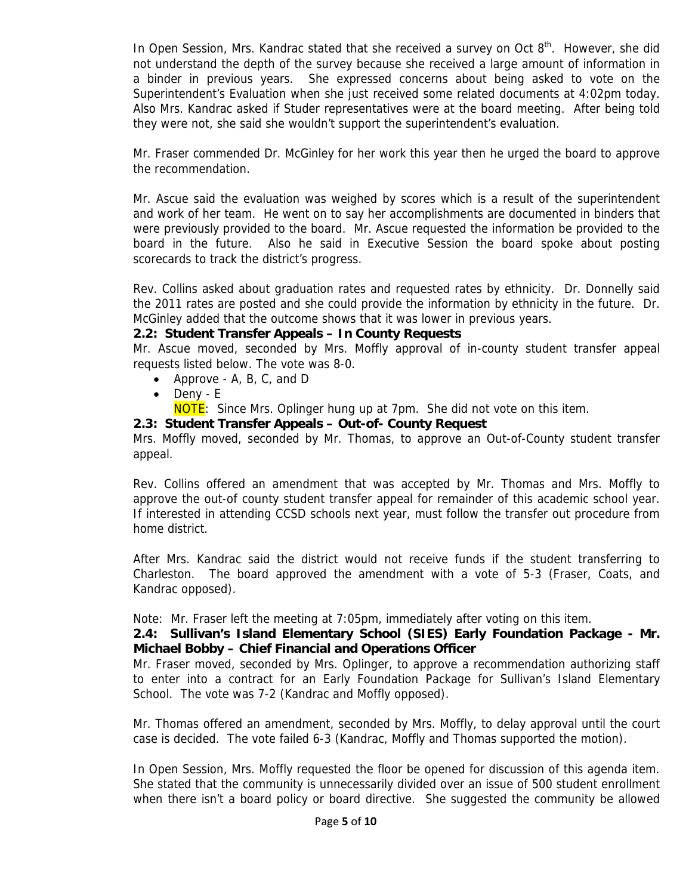In Open Session, Mrs. Kandrac stated that she received a survey on Oct  $8<sup>th</sup>$ . However, she did not understand the depth of the survey because she received a large amount of information in a binder in previous years. She expressed concerns about being asked to vote on the Superintendent's Evaluation when she just received some related documents at 4:02pm today. Also Mrs. Kandrac asked if Studer representatives were at the board meeting. After being told they were not, she said she wouldn't support the superintendent's evaluation.

Mr. Fraser commended Dr. McGinley for her work this year then he urged the board to approve the recommendation.

Mr. Ascue said the evaluation was weighed by scores which is a result of the superintendent and work of her team. He went on to say her accomplishments are documented in binders that were previously provided to the board. Mr. Ascue requested the information be provided to the board in the future. Also he said in Executive Session the board spoke about posting scorecards to track the district's progress.

Rev. Collins asked about graduation rates and requested rates by ethnicity. Dr. Donnelly said the 2011 rates are posted and she could provide the information by ethnicity in the future. Dr. McGinley added that the outcome shows that it was lower in previous years.

#### **2.2: Student Transfer Appeals – In County Requests**

Mr. Ascue moved, seconded by Mrs. Moffly approval of in-county student transfer appeal requests listed below. The vote was 8-0.

- Approve A, B, C, and D
- Deny E
- **NOTE:** Since Mrs. Oplinger hung up at 7pm. She did not vote on this item.

## **2.3: Student Transfer Appeals – Out-of- County Request**

Mrs. Moffly moved, seconded by Mr. Thomas, to approve an Out-of-County student transfer appeal.

Rev. Collins offered an amendment that was accepted by Mr. Thomas and Mrs. Moffly to approve the out-of county student transfer appeal for remainder of this academic school year. If interested in attending CCSD schools next year, must follow the transfer out procedure from home district.

After Mrs. Kandrac said the district would not receive funds if the student transferring to Charleston. The board approved the amendment with a vote of 5-3 (Fraser, Coats, and Kandrac opposed).

Note: Mr. Fraser left the meeting at 7:05pm, immediately after voting on this item.

#### **2.4: Sullivan's Island Elementary School (SIES) Early Foundation Package - Mr. Michael Bobby – Chief Financial and Operations Officer**

Mr. Fraser moved, seconded by Mrs. Oplinger, to approve a recommendation authorizing staff to enter into a contract for an Early Foundation Package for Sullivan's Island Elementary School. The vote was 7-2 (Kandrac and Moffly opposed).

Mr. Thomas offered an amendment, seconded by Mrs. Moffly, to delay approval until the court case is decided. The vote failed 6-3 (Kandrac, Moffly and Thomas supported the motion).

In Open Session, Mrs. Moffly requested the floor be opened for discussion of this agenda item. She stated that the community is unnecessarily divided over an issue of 500 student enrollment when there isn't a board policy or board directive. She suggested the community be allowed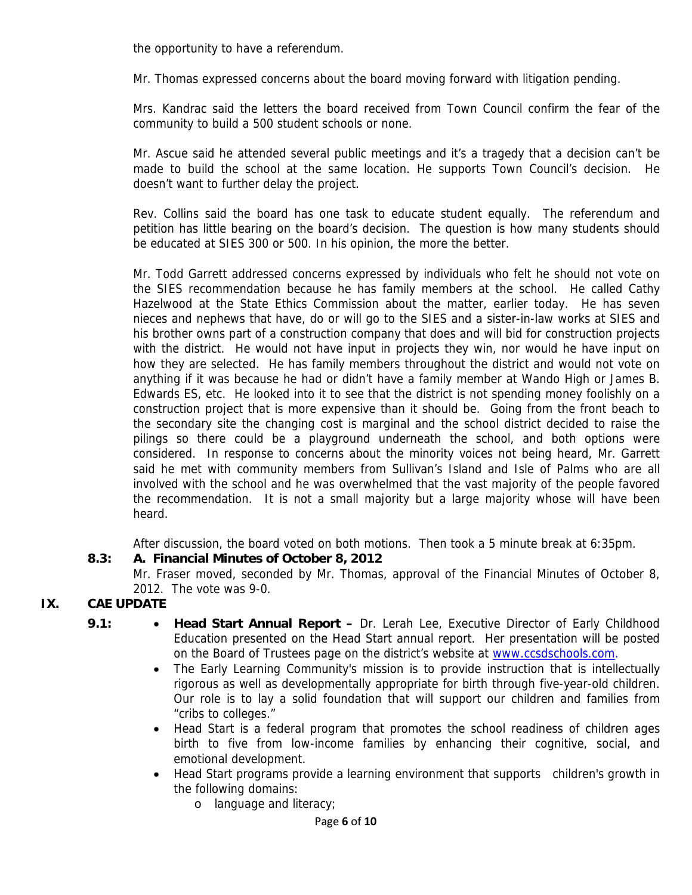the opportunity to have a referendum.

Mr. Thomas expressed concerns about the board moving forward with litigation pending.

Mrs. Kandrac said the letters the board received from Town Council confirm the fear of the community to build a 500 student schools or none.

Mr. Ascue said he attended several public meetings and it's a tragedy that a decision can't be made to build the school at the same location. He supports Town Council's decision. He doesn't want to further delay the project.

Rev. Collins said the board has one task to educate student equally. The referendum and petition has little bearing on the board's decision. The question is how many students should be educated at SIES 300 or 500. In his opinion, the more the better.

Mr. Todd Garrett addressed concerns expressed by individuals who felt he should not vote on the SIES recommendation because he has family members at the school. He called Cathy Hazelwood at the State Ethics Commission about the matter, earlier today. He has seven nieces and nephews that have, do or will go to the SIES and a sister-in-law works at SIES and his brother owns part of a construction company that does and will bid for construction projects with the district. He would not have input in projects they win, nor would he have input on how they are selected. He has family members throughout the district and would not vote on anything if it was because he had or didn't have a family member at Wando High or James B. Edwards ES, etc. He looked into it to see that the district is not spending money foolishly on a construction project that is more expensive than it should be. Going from the front beach to the secondary site the changing cost is marginal and the school district decided to raise the pilings so there could be a playground underneath the school, and both options were considered. In response to concerns about the minority voices not being heard, Mr. Garrett said he met with community members from Sullivan's Island and Isle of Palms who are all involved with the school and he was overwhelmed that the vast majority of the people favored the recommendation. It is not a small majority but a large majority whose will have been heard.

After discussion, the board voted on both motions. Then took a 5 minute break at 6:35pm.

## **8.3: A. Financial Minutes of October 8, 2012**

Mr. Fraser moved, seconded by Mr. Thomas, approval of the Financial Minutes of October 8, 2012. The vote was 9-0.

## **IX. CAE UPDATE**

- **9.1: Head Start Annual Report** Dr. Lerah Lee, Executive Director of Early Childhood Education presented on the Head Start annual report. Her presentation will be posted on the Board of Trustees page on the district's website at www.ccsdschools.com.
	- The Early Learning Community's mission is to provide instruction that is intellectually rigorous as well as developmentally appropriate for birth through five-year-old children. Our role is to lay a solid foundation that will support our children and families from "cribs to colleges."
	- Head Start is a federal program that promotes the school readiness of children ages birth to five from low-income families by enhancing their cognitive, social, and emotional development.
	- Head Start programs provide a learning environment that supports children's growth in the following domains:
		- o language and literacy;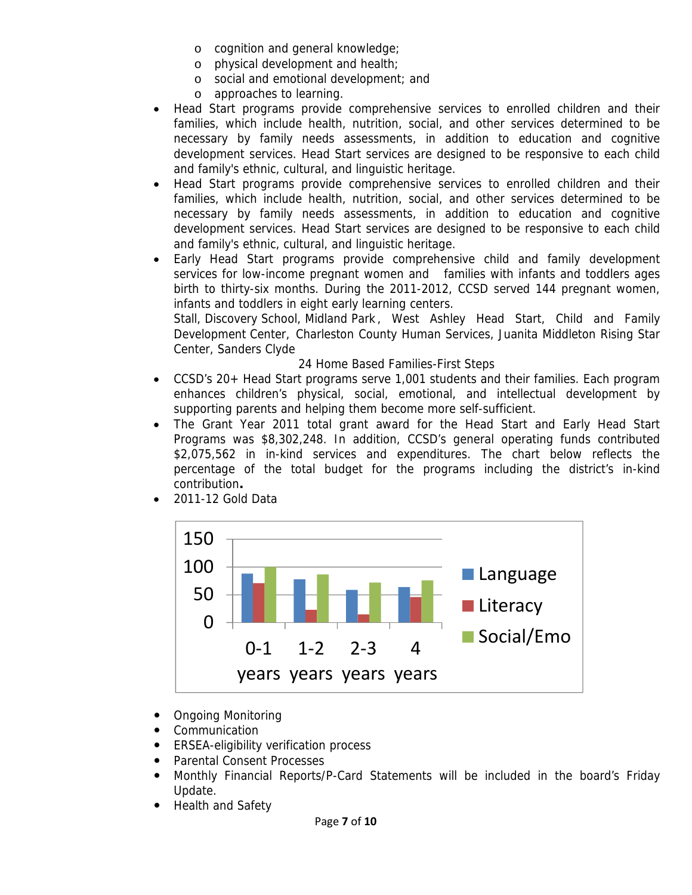- o cognition and general knowledge;
- o physical development and health;
- o social and emotional development; and
- o approaches to learning.
- Head Start programs provide comprehensive services to enrolled children and their families, which include health, nutrition, social, and other services determined to be necessary by family needs assessments, in addition to education and cognitive development services. Head Start services are designed to be responsive to each child and family's ethnic, cultural, and linguistic heritage.
- Head Start programs provide comprehensive services to enrolled children and their families, which include health, nutrition, social, and other services determined to be necessary by family needs assessments, in addition to education and cognitive development services. Head Start services are designed to be responsive to each child and family's ethnic, cultural, and linguistic heritage.
- Early Head Start programs provide comprehensive child and family development services for low-income pregnant women and families with infants and toddlers ages birth to thirty-six months. During the 2011-2012, CCSD served 144 pregnant women, infants and toddlers in eight early learning centers.

Stall, Discovery School, Midland Park , West Ashley Head Start, Child and Family Development Center, Charleston County Human Services, Juanita Middleton Rising Star Center, Sanders Clyde

#### 24 Home Based Families-First Steps

- CCSD's 20+ Head Start programs serve 1,001 students and their families. Each program enhances children's physical, social, emotional, and intellectual development by supporting parents and helping them become more self-sufficient.
- The Grant Year 2011 total grant award for the Head Start and Early Head Start Programs was \$8,302,248. In addition, CCSD's general operating funds contributed \$2,075,562 in in-kind services and expenditures. The chart below reflects the percentage of the total budget for the programs including the district's in-kind contribution**.**



• 2011-12 Gold Data

- Ongoing Monitoring
- Communication
- ERSEA-eligibility verification process
- Parental Consent Processes
- Monthly Financial Reports/P-Card Statements will be included in the board's Friday Update.
- Health and Safety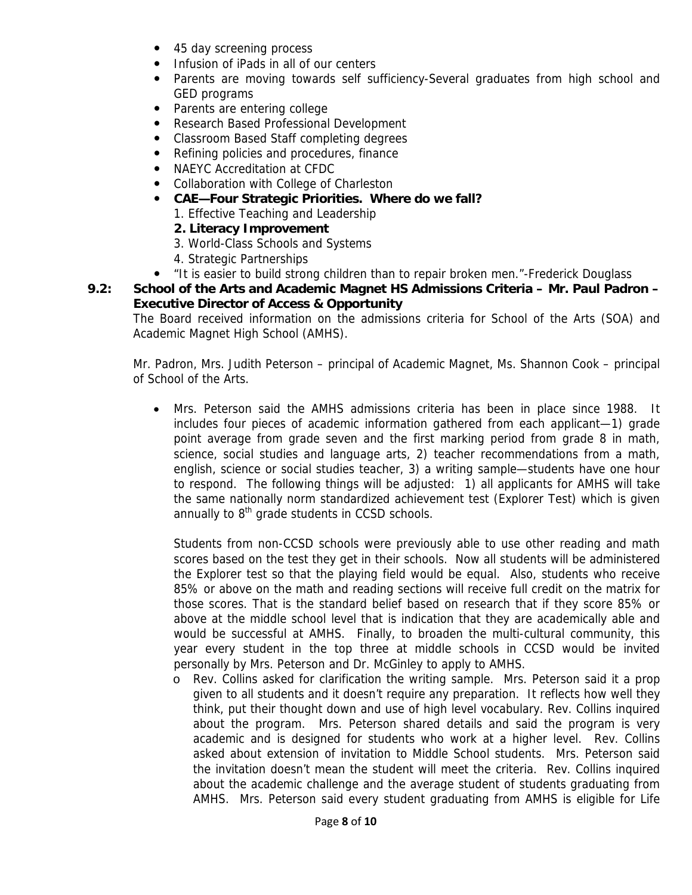- 45 day screening process
- Infusion of iPads in all of our centers
- Parents are moving towards self sufficiency-Several graduates from high school and GED programs
- Parents are entering college
- Research Based Professional Development
- Classroom Based Staff completing degrees
- Refining policies and procedures, finance
- NAEYC Accreditation at CFDC
- Collaboration with College of Charleston
- CAE-Four Strategic Priorities. Where do we fall?
	- 1. Effective Teaching and Leadership
	- **2. Literacy Improvement**
	- 3. World-Class Schools and Systems
	- 4. Strategic Partnerships
- "It is easier to build strong children than to repair broken men."-Frederick Douglass
- **9.2: School of the Arts and Academic Magnet HS Admissions Criteria Mr. Paul Padron Executive Director of Access & Opportunity**

The Board received information on the admissions criteria for School of the Arts (SOA) and Academic Magnet High School (AMHS).

Mr. Padron, Mrs. Judith Peterson – principal of Academic Magnet, Ms. Shannon Cook – principal of School of the Arts.

• Mrs. Peterson said the AMHS admissions criteria has been in place since 1988. It includes four pieces of academic information gathered from each applicant—1) grade point average from grade seven and the first marking period from grade 8 in math, science, social studies and language arts, 2) teacher recommendations from a math, english, science or social studies teacher, 3) a writing sample—students have one hour to respond. The following things will be adjusted: 1) all applicants for AMHS will take the same nationally norm standardized achievement test (Explorer Test) which is given annually to  $8<sup>th</sup>$  grade students in CCSD schools.

Students from non-CCSD schools were previously able to use other reading and math scores based on the test they get in their schools. Now all students will be administered the Explorer test so that the playing field would be equal. Also, students who receive 85% or above on the math and reading sections will receive full credit on the matrix for those scores. That is the standard belief based on research that if they score 85% or above at the middle school level that is indication that they are academically able and would be successful at AMHS. Finally, to broaden the multi-cultural community, this year every student in the top three at middle schools in CCSD would be invited personally by Mrs. Peterson and Dr. McGinley to apply to AMHS.

o Rev. Collins asked for clarification the writing sample. Mrs. Peterson said it a prop given to all students and it doesn't require any preparation. It reflects how well they think, put their thought down and use of high level vocabulary. Rev. Collins inquired about the program. Mrs. Peterson shared details and said the program is very academic and is designed for students who work at a higher level. Rev. Collins asked about extension of invitation to Middle School students. Mrs. Peterson said the invitation doesn't mean the student will meet the criteria. Rev. Collins inquired about the academic challenge and the average student of students graduating from AMHS. Mrs. Peterson said every student graduating from AMHS is eligible for Life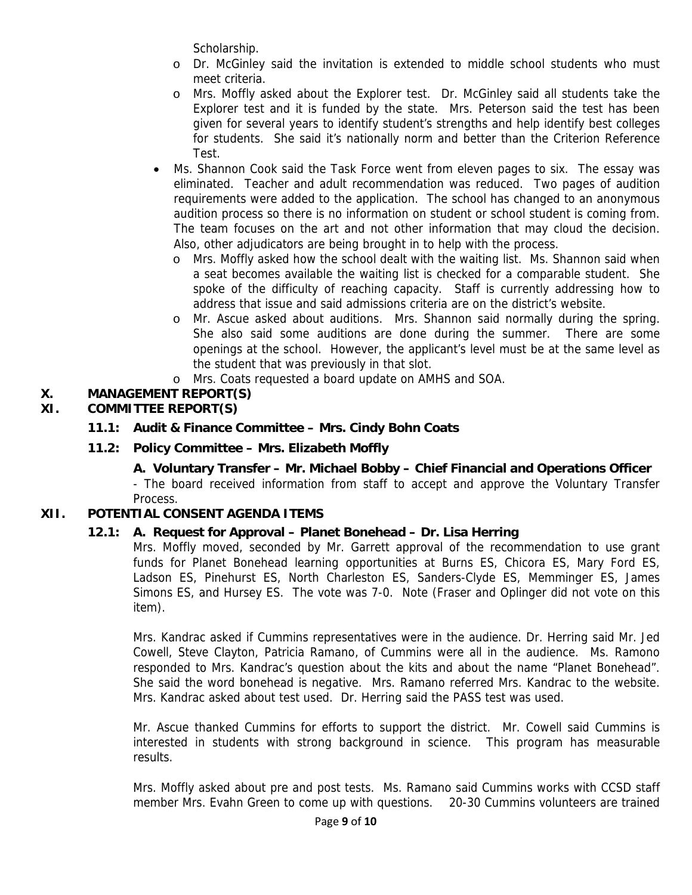Scholarship.

- o Dr. McGinley said the invitation is extended to middle school students who must meet criteria.
- o Mrs. Moffly asked about the Explorer test. Dr. McGinley said all students take the Explorer test and it is funded by the state. Mrs. Peterson said the test has been given for several years to identify student's strengths and help identify best colleges for students. She said it's nationally norm and better than the Criterion Reference Test.
- Ms. Shannon Cook said the Task Force went from eleven pages to six. The essay was eliminated. Teacher and adult recommendation was reduced. Two pages of audition requirements were added to the application. The school has changed to an anonymous audition process so there is no information on student or school student is coming from. The team focuses on the art and not other information that may cloud the decision. Also, other adjudicators are being brought in to help with the process.
	- o Mrs. Moffly asked how the school dealt with the waiting list. Ms. Shannon said when a seat becomes available the waiting list is checked for a comparable student. She spoke of the difficulty of reaching capacity. Staff is currently addressing how to address that issue and said admissions criteria are on the district's website.
	- o Mr. Ascue asked about auditions. Mrs. Shannon said normally during the spring. She also said some auditions are done during the summer. There are some openings at the school. However, the applicant's level must be at the same level as the student that was previously in that slot.
	- o Mrs. Coats requested a board update on AMHS and SOA.

# **X. MANAGEMENT REPORT(S)**

# **XI. COMMITTEE REPORT(S)**

- **11.1: Audit & Finance Committee Mrs. Cindy Bohn Coats**
- **11.2: Policy Committee Mrs. Elizabeth Moffly**

# **A. Voluntary Transfer – Mr. Michael Bobby – Chief Financial and Operations Officer**

- The board received information from staff to accept and approve the Voluntary Transfer Process.

# **XII. POTENTIAL CONSENT AGENDA ITEMS**

## **12.1: A. Request for Approval – Planet Bonehead – Dr. Lisa Herring**

Mrs. Moffly moved, seconded by Mr. Garrett approval of the recommendation to use grant funds for Planet Bonehead learning opportunities at Burns ES, Chicora ES, Mary Ford ES, Ladson ES, Pinehurst ES, North Charleston ES, Sanders-Clyde ES, Memminger ES, James Simons ES, and Hursey ES. The vote was 7-0. Note (Fraser and Oplinger did not vote on this item).

Mrs. Kandrac asked if Cummins representatives were in the audience. Dr. Herring said Mr. Jed Cowell, Steve Clayton, Patricia Ramano, of Cummins were all in the audience. Ms. Ramono responded to Mrs. Kandrac's question about the kits and about the name "Planet Bonehead". She said the word bonehead is negative. Mrs. Ramano referred Mrs. Kandrac to the website. Mrs. Kandrac asked about test used. Dr. Herring said the PASS test was used.

Mr. Ascue thanked Cummins for efforts to support the district. Mr. Cowell said Cummins is interested in students with strong background in science. This program has measurable results.

Mrs. Moffly asked about pre and post tests. Ms. Ramano said Cummins works with CCSD staff member Mrs. Evahn Green to come up with questions. 20-30 Cummins volunteers are trained